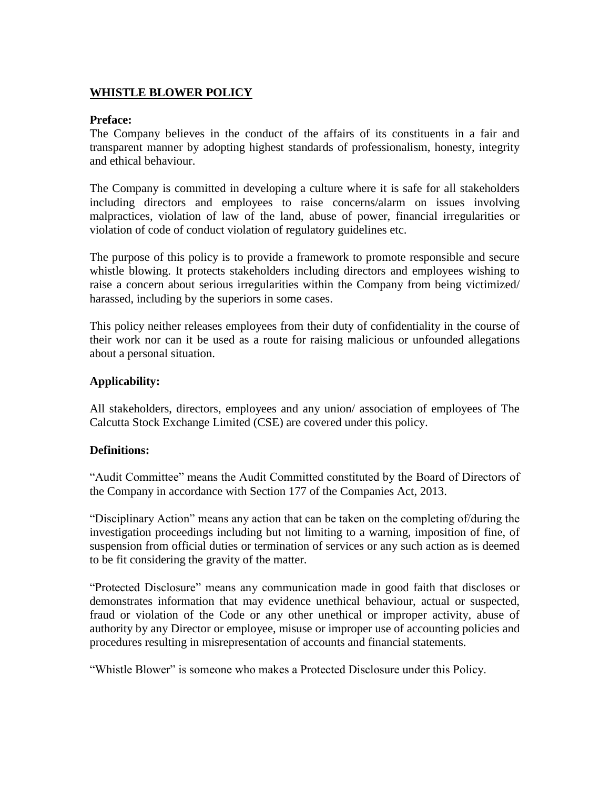# **WHISTLE BLOWER POLICY**

### **Preface:**

The Company believes in the conduct of the affairs of its constituents in a fair and transparent manner by adopting highest standards of professionalism, honesty, integrity and ethical behaviour.

The Company is committed in developing a culture where it is safe for all stakeholders including directors and employees to raise concerns/alarm on issues involving malpractices, violation of law of the land, abuse of power, financial irregularities or violation of code of conduct violation of regulatory guidelines etc.

The purpose of this policy is to provide a framework to promote responsible and secure whistle blowing. It protects stakeholders including directors and employees wishing to raise a concern about serious irregularities within the Company from being victimized/ harassed, including by the superiors in some cases.

This policy neither releases employees from their duty of confidentiality in the course of their work nor can it be used as a route for raising malicious or unfounded allegations about a personal situation.

### **Applicability:**

All stakeholders, directors, employees and any union/ association of employees of The Calcutta Stock Exchange Limited (CSE) are covered under this policy.

### **Definitions:**

"Audit Committee" means the Audit Committed constituted by the Board of Directors of the Company in accordance with Section 177 of the Companies Act, 2013.

"Disciplinary Action" means any action that can be taken on the completing of/during the investigation proceedings including but not limiting to a warning, imposition of fine, of suspension from official duties or termination of services or any such action as is deemed to be fit considering the gravity of the matter.

"Protected Disclosure" means any communication made in good faith that discloses or demonstrates information that may evidence unethical behaviour, actual or suspected, fraud or violation of the Code or any other unethical or improper activity, abuse of authority by any Director or employee, misuse or improper use of accounting policies and procedures resulting in misrepresentation of accounts and financial statements.

"Whistle Blower" is someone who makes a Protected Disclosure under this Policy.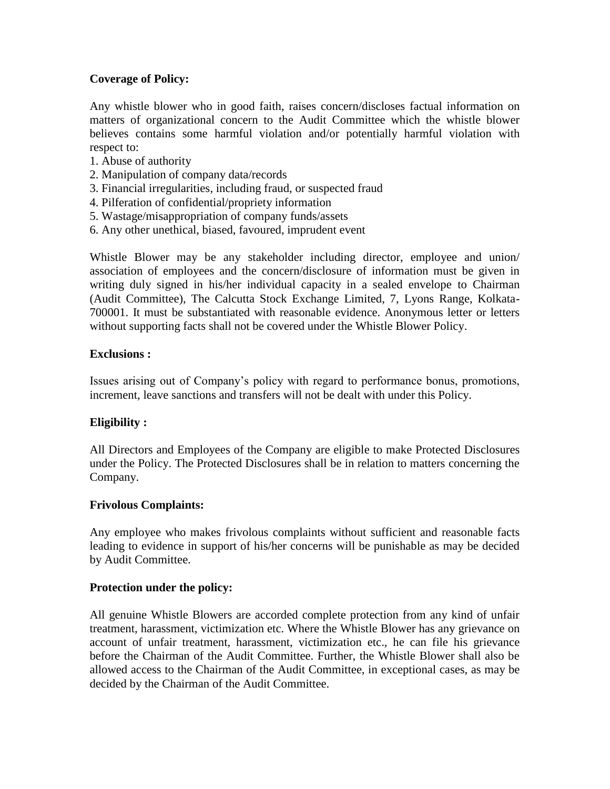## **Coverage of Policy:**

Any whistle blower who in good faith, raises concern/discloses factual information on matters of organizational concern to the Audit Committee which the whistle blower believes contains some harmful violation and/or potentially harmful violation with respect to:

- 1. Abuse of authority
- 2. Manipulation of company data/records
- 3. Financial irregularities, including fraud, or suspected fraud
- 4. Pilferation of confidential/propriety information
- 5. Wastage/misappropriation of company funds/assets
- 6. Any other unethical, biased, favoured, imprudent event

Whistle Blower may be any stakeholder including director, employee and union/ association of employees and the concern/disclosure of information must be given in writing duly signed in his/her individual capacity in a sealed envelope to Chairman (Audit Committee), The Calcutta Stock Exchange Limited, 7, Lyons Range, Kolkata-700001. It must be substantiated with reasonable evidence. Anonymous letter or letters without supporting facts shall not be covered under the Whistle Blower Policy.

### **Exclusions :**

Issues arising out of Company's policy with regard to performance bonus, promotions, increment, leave sanctions and transfers will not be dealt with under this Policy.

### **Eligibility :**

All Directors and Employees of the Company are eligible to make Protected Disclosures under the Policy. The Protected Disclosures shall be in relation to matters concerning the Company.

### **Frivolous Complaints:**

Any employee who makes frivolous complaints without sufficient and reasonable facts leading to evidence in support of his/her concerns will be punishable as may be decided by Audit Committee.

### **Protection under the policy:**

All genuine Whistle Blowers are accorded complete protection from any kind of unfair treatment, harassment, victimization etc. Where the Whistle Blower has any grievance on account of unfair treatment, harassment, victimization etc., he can file his grievance before the Chairman of the Audit Committee. Further, the Whistle Blower shall also be allowed access to the Chairman of the Audit Committee, in exceptional cases, as may be decided by the Chairman of the Audit Committee.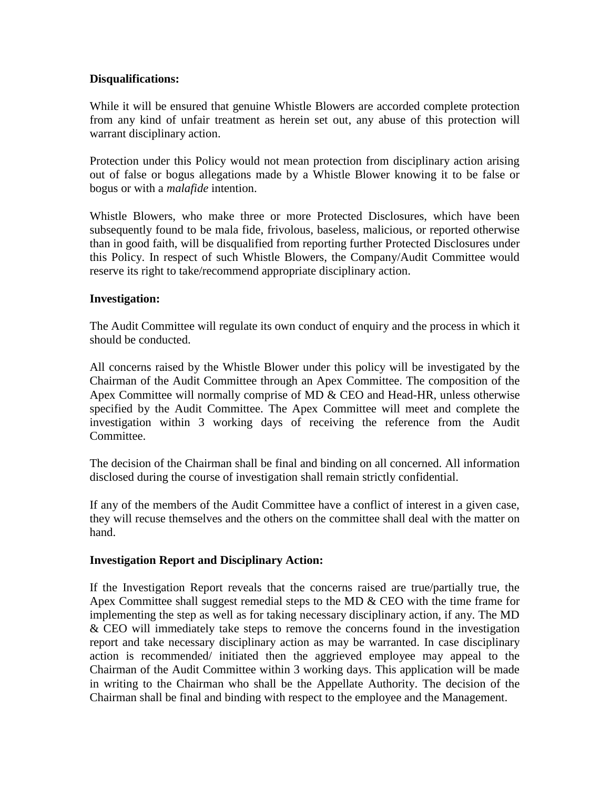### **Disqualifications:**

While it will be ensured that genuine Whistle Blowers are accorded complete protection from any kind of unfair treatment as herein set out, any abuse of this protection will warrant disciplinary action.

Protection under this Policy would not mean protection from disciplinary action arising out of false or bogus allegations made by a Whistle Blower knowing it to be false or bogus or with a *malafide* intention.

Whistle Blowers, who make three or more Protected Disclosures, which have been subsequently found to be mala fide, frivolous, baseless, malicious, or reported otherwise than in good faith, will be disqualified from reporting further Protected Disclosures under this Policy. In respect of such Whistle Blowers, the Company/Audit Committee would reserve its right to take/recommend appropriate disciplinary action.

### **Investigation:**

The Audit Committee will regulate its own conduct of enquiry and the process in which it should be conducted.

All concerns raised by the Whistle Blower under this policy will be investigated by the Chairman of the Audit Committee through an Apex Committee. The composition of the Apex Committee will normally comprise of MD & CEO and Head-HR, unless otherwise specified by the Audit Committee. The Apex Committee will meet and complete the investigation within 3 working days of receiving the reference from the Audit Committee.

The decision of the Chairman shall be final and binding on all concerned. All information disclosed during the course of investigation shall remain strictly confidential.

If any of the members of the Audit Committee have a conflict of interest in a given case, they will recuse themselves and the others on the committee shall deal with the matter on hand.

### **Investigation Report and Disciplinary Action:**

If the Investigation Report reveals that the concerns raised are true/partially true, the Apex Committee shall suggest remedial steps to the MD & CEO with the time frame for implementing the step as well as for taking necessary disciplinary action, if any. The MD & CEO will immediately take steps to remove the concerns found in the investigation report and take necessary disciplinary action as may be warranted. In case disciplinary action is recommended/ initiated then the aggrieved employee may appeal to the Chairman of the Audit Committee within 3 working days. This application will be made in writing to the Chairman who shall be the Appellate Authority. The decision of the Chairman shall be final and binding with respect to the employee and the Management.